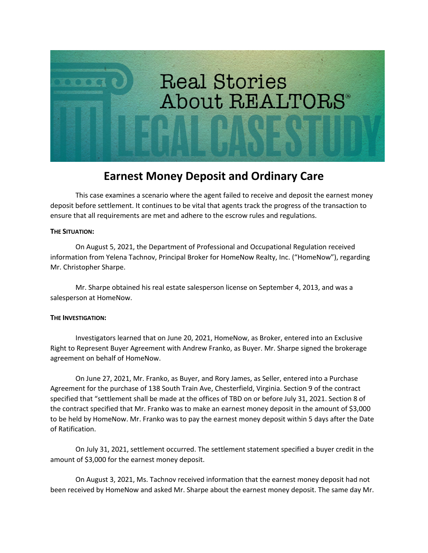

## **Earnest Money Deposit and Ordinary Care**

This case examines a scenario where the agent failed to receive and deposit the earnest money deposit before settlement. It continues to be vital that agents track the progress of the transaction to ensure that all requirements are met and adhere to the escrow rules and regulations.

## **THE SITUATION:**

On August 5, 2021, the Department of Professional and Occupational Regulation received information from Yelena Tachnov, Principal Broker for HomeNow Realty, Inc. ("HomeNow"), regarding Mr. Christopher Sharpe.

Mr. Sharpe obtained his real estate salesperson license on September 4, 2013, and was a salesperson at HomeNow.

## **THE INVESTIGATION:**

Investigators learned that on June 20, 2021, HomeNow, as Broker, entered into an Exclusive Right to Represent Buyer Agreement with Andrew Franko, as Buyer. Mr. Sharpe signed the brokerage agreement on behalf of HomeNow.

On June 27, 2021, Mr. Franko, as Buyer, and Rory James, as Seller, entered into a Purchase Agreement for the purchase of 138 South Train Ave, Chesterfield, Virginia. Section 9 of the contract specified that "settlement shall be made at the offices of TBD on or before July 31, 2021. Section 8 of the contract specified that Mr. Franko was to make an earnest money deposit in the amount of \$3,000 to be held by HomeNow. Mr. Franko was to pay the earnest money deposit within 5 days after the Date of Ratification.

On July 31, 2021, settlement occurred. The settlement statement specified a buyer credit in the amount of \$3,000 for the earnest money deposit.

On August 3, 2021, Ms. Tachnov received information that the earnest money deposit had not been received by HomeNow and asked Mr. Sharpe about the earnest money deposit. The same day Mr.